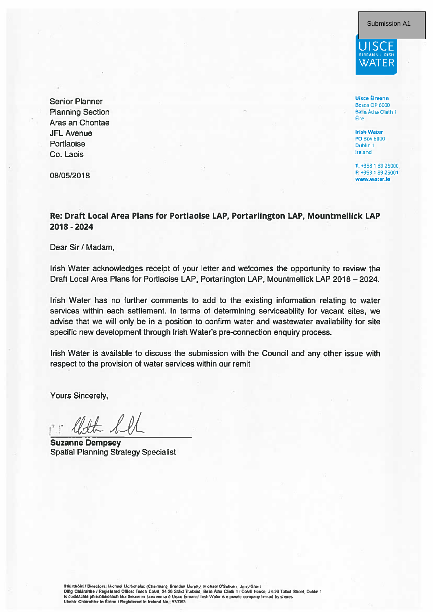Submission A1



**Uisce Éireann** Bosca OP 6000 Baile Átha Cliath 1 Éire

**Irish Water PO Box 6000** Dublin 1 Ireland

T: +353 1.89.25000 F: +353 1 89 25001 www.water.ie

Aras an Chontae **JFI Avenue** Portlaoise Co. Laois

**Senior Planner** 

**Planning Section** 

08/05/2018

Re: Draft Local Area Plans for Portlaoise LAP, Portarlington LAP, Mountmellick LAP 2018 - 2024

Dear Sir / Madam,

Irish Water acknowledges receipt of your letter and welcomes the opportunity to review the Draft Local Area Plans for Portlaoise LAP, Portarlington LAP, Mountmellick LAP 2018 - 2024.

Irish Water has no further comments to add to the existing information relating to water services within each settlement. In terms of determining serviceability for vacant sites, we advise that we will only be in a position to confirm water and wastewater availability for site specific new development through Irish Water's pre-connection enquiry process.

Irish Water is available to discuss the submission with the Council and any other issue with respect to the provision of water services within our remit

**Yours Sincerely,** 

**Suzanne Dempsey Spatial Planning Strategy Specialist** 

Stiúrthóirí / Directors: Michael McNicholas (Chairman), Brendan Murphy, Michael O'Sulivan, Jerry Grant<br>Difig Chláraithe / Registered Office: Teach Colval, 24-26 Sráid Thalbóid, Basa Álha Cliath 1 / Colvill House, 24-26 Tal Ulmhir Chiáraithe in Éirinn / Registered in Ireland No.: 530363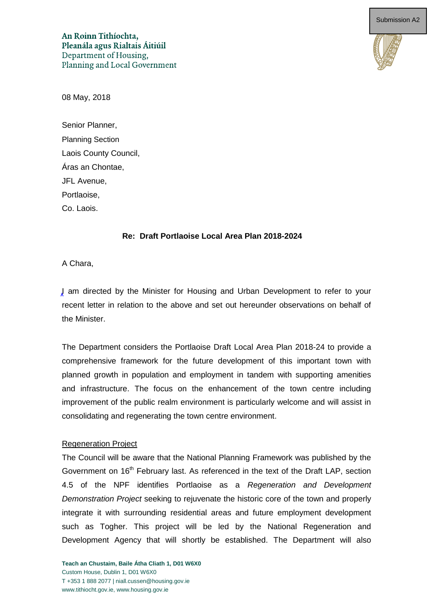An Roinn Tithíochta, Pleanála agus Rialtais Áitiúil Department of Housing, Planning and Local Government



08 May, 2018

Senior Planner, Planning Section Laois County Council, Áras an Chontae, JFL Avenue, Portlaoise, Co. Laois.

#### **Re: Draft Portlaoise Local Area Plan 2018-2024**

A Chara,

I am directed by the Minister for Housing and Urban Development to refer to your recent letter in relation to the above and set out hereunder observations on behalf of the Minister.

The Department considers the Portlaoise Draft Local Area Plan 2018-24 to provide a comprehensive framework for the future development of this important town with planned growth in population and employment in tandem with supporting amenities and infrastructure. The focus on the enhancement of the town centre including improvement of the public realm environment is particularly welcome and will assist in consolidating and regenerating the town centre environment.

#### Regeneration Project

The Council will be aware that the National Planning Framework was published by the Government on 16<sup>th</sup> February last. As referenced in the text of the Draft LAP, section 4.5 of the NPF identifies Portlaoise as a *Regeneration and Development Demonstration Project* seeking to rejuvenate the historic core of the town and properly integrate it with surrounding residential areas and future employment development such as Togher. This project will be led by the National Regeneration and Development Agency that will shortly be established. The Department will also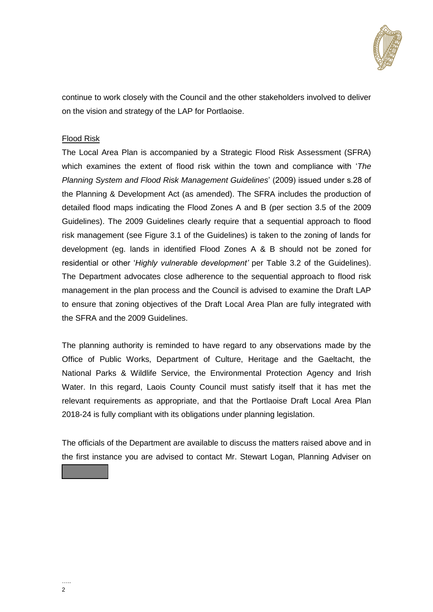

continue to work closely with the Council and the other stakeholders involved to deliver on the vision and strategy of the LAP for Portlaoise.

#### Flood Risk

The Local Area Plan is accompanied by a Strategic Flood Risk Assessment (SFRA) which examines the extent of flood risk within the town and compliance with '*The Planning System and Flood Risk Management Guidelines*' (2009) issued under s.28 of the Planning & Development Act (as amended). The SFRA includes the production of detailed flood maps indicating the Flood Zones A and B (per section 3.5 of the 2009 Guidelines). The 2009 Guidelines clearly require that a sequential approach to flood risk management (see Figure 3.1 of the Guidelines) is taken to the zoning of lands for development (eg. lands in identified Flood Zones A & B should not be zoned for residential or other '*Highly vulnerable development'* per Table 3.2 of the Guidelines). The Department advocates close adherence to the sequential approach to flood risk management in the plan process and the Council is advised to examine the Draft LAP to ensure that zoning objectives of the Draft Local Area Plan are fully integrated with the SFRA and the 2009 Guidelines.

The planning authority is reminded to have regard to any observations made by the Office of Public Works, Department of Culture, Heritage and the Gaeltacht, the National Parks & Wildlife Service, the Environmental Protection Agency and Irish Water. In this regard, Laois County Council must satisfy itself that it has met the relevant requirements as appropriate, and that the Portlaoise Draft Local Area Plan 2018-24 is fully compliant with its obligations under planning legislation.

The officials of the Department are available to discuss the matters raised above and in the first instance you are advised to contact Mr. Stewart Logan, Planning Adviser on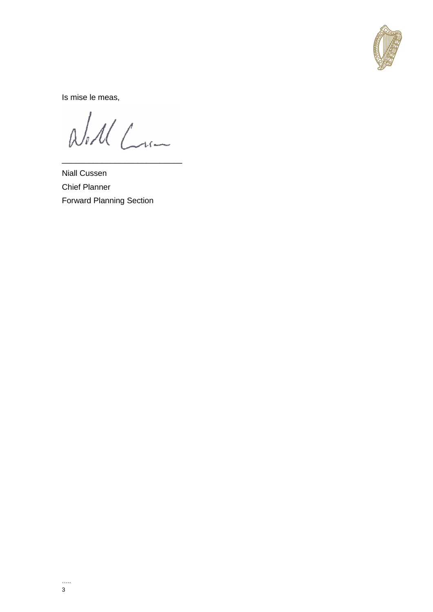

Is mise le meas,

Will Com

**Niall Cussen Chief Planner Forward Planning Section**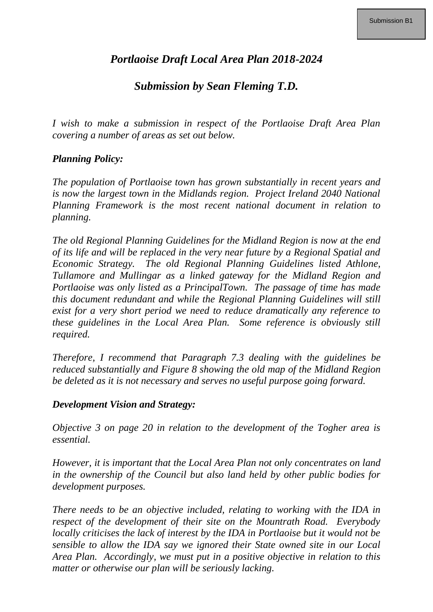# *Portlaoise Draft Local Area Plan 2018-2024*

# *Submission by Sean Fleming T.D.*

*I wish to make a submission in respect of the Portlaoise Draft Area Plan covering a number of areas as set out below.*

#### *Planning Policy:*

*The population of Portlaoise town has grown substantially in recent years and is now the largest town in the Midlands region. Project Ireland 2040 National Planning Framework is the most recent national document in relation to planning.*

*The old Regional Planning Guidelines for the Midland Region is now at the end of its life and will be replaced in the very near future by a Regional Spatial and Economic Strategy. The old Regional Planning Guidelines listed Athlone, Tullamore and Mullingar as a linked gateway for the Midland Region and Portlaoise was only listed as a PrincipalTown. The passage of time has made this document redundant and while the Regional Planning Guidelines will still exist for a very short period we need to reduce dramatically any reference to these guidelines in the Local Area Plan. Some reference is obviously still required.*

*Therefore, I recommend that Paragraph 7.3 dealing with the guidelines be reduced substantially and Figure 8 showing the old map of the Midland Region be deleted as it is not necessary and serves no useful purpose going forward.*

#### *Development Vision and Strategy:*

*Objective 3 on page 20 in relation to the development of the Togher area is essential.*

*However, it is important that the Local Area Plan not only concentrates on land in the ownership of the Council but also land held by other public bodies for development purposes.* 

*There needs to be an objective included, relating to working with the IDA in respect of the development of their site on the Mountrath Road. Everybody locally criticises the lack of interest by the IDA in Portlaoise but it would not be sensible to allow the IDA say we ignored their State owned site in our Local Area Plan. Accordingly, we must put in a positive objective in relation to this matter or otherwise our plan will be seriously lacking.*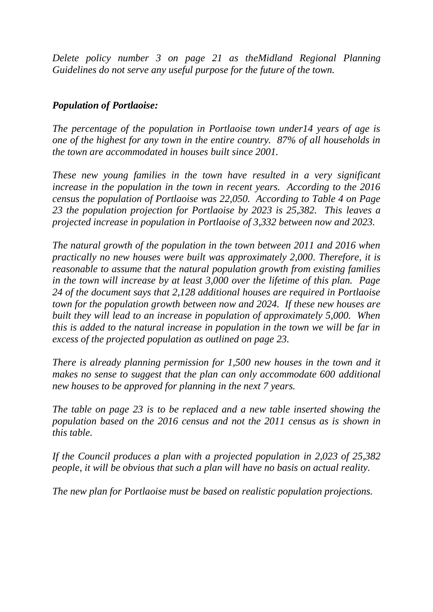*Delete policy number 3 on page 21 as theMidland Regional Planning Guidelines do not serve any useful purpose for the future of the town.*

### *Population of Portlaoise:*

*The percentage of the population in Portlaoise town under14 years of age is one of the highest for any town in the entire country. 87% of all households in the town are accommodated in houses built since 2001.* 

*These new young families in the town have resulted in a very significant increase in the population in the town in recent years. According to the 2016 census the population of Portlaoise was 22,050. According to Table 4 on Page 23 the population projection for Portlaoise by 2023 is 25,382. This leaves a projected increase in population in Portlaoise of 3,332 between now and 2023.* 

*The natural growth of the population in the town between 2011 and 2016 when practically no new houses were built was approximately 2,000. Therefore, it is reasonable to assume that the natural population growth from existing families in the town will increase by at least 3,000 over the lifetime of this plan. Page 24 of the document says that 2,128 additional houses are required in Portlaoise town for the population growth between now and 2024. If these new houses are built they will lead to an increase in population of approximately 5,000. When this is added to the natural increase in population in the town we will be far in excess of the projected population as outlined on page 23.*

*There is already planning permission for 1,500 new houses in the town and it makes no sense to suggest that the plan can only accommodate 600 additional new houses to be approved for planning in the next 7 years.*

*The table on page 23 is to be replaced and a new table inserted showing the population based on the 2016 census and not the 2011 census as is shown in this table.*

*If the Council produces a plan with a projected population in 2,023 of 25,382 people, it will be obvious that such a plan will have no basis on actual reality.*

*The new plan for Portlaoise must be based on realistic population projections.*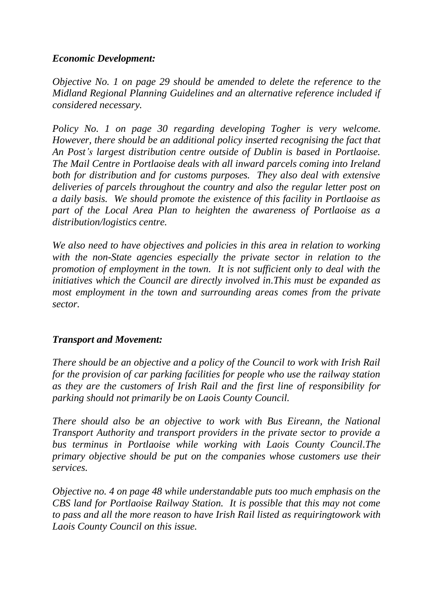#### *Economic Development:*

*Objective No. 1 on page 29 should be amended to delete the reference to the Midland Regional Planning Guidelines and an alternative reference included if considered necessary.*

*Policy No. 1 on page 30 regarding developing Togher is very welcome. However, there should be an additional policy inserted recognising the fact that An Post's largest distribution centre outside of Dublin is based in Portlaoise. The Mail Centre in Portlaoise deals with all inward parcels coming into Ireland both for distribution and for customs purposes. They also deal with extensive deliveries of parcels throughout the country and also the regular letter post on a daily basis. We should promote the existence of this facility in Portlaoise as part of the Local Area Plan to heighten the awareness of Portlaoise as a distribution/logistics centre.* 

*We also need to have objectives and policies in this area in relation to working with the non-State agencies especially the private sector in relation to the promotion of employment in the town. It is not sufficient only to deal with the initiatives which the Council are directly involved in.This must be expanded as most employment in the town and surrounding areas comes from the private sector.*

## *Transport and Movement:*

*There should be an objective and a policy of the Council to work with Irish Rail for the provision of car parking facilities for people who use the railway station as they are the customers of Irish Rail and the first line of responsibility for parking should not primarily be on Laois County Council.*

*There should also be an objective to work with Bus Eireann, the National Transport Authority and transport providers in the private sector to provide a bus terminus in Portlaoise while working with Laois County Council.The primary objective should be put on the companies whose customers use their services.*

*Objective no. 4 on page 48 while understandable puts too much emphasis on the CBS land for Portlaoise Railway Station. It is possible that this may not come to pass and all the more reason to have Irish Rail listed as requiringtowork with Laois County Council on this issue.*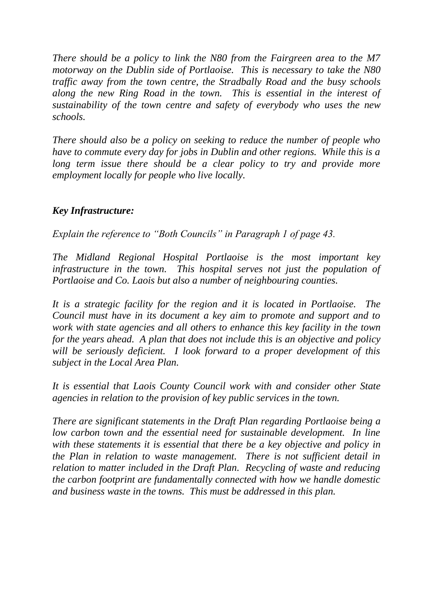*There should be a policy to link the N80 from the Fairgreen area to the M7 motorway on the Dublin side of Portlaoise. This is necessary to take the N80 traffic away from the town centre, the Stradbally Road and the busy schools along the new Ring Road in the town. This is essential in the interest of sustainability of the town centre and safety of everybody who uses the new schools.*

*There should also be a policy on seeking to reduce the number of people who have to commute every day for jobs in Dublin and other regions. While this is a long term issue there should be a clear policy to try and provide more employment locally for people who live locally.*

## *Key Infrastructure:*

*Explain the reference to "Both Councils" in Paragraph 1 of page 43.* 

*The Midland Regional Hospital Portlaoise is the most important key infrastructure in the town. This hospital serves not just the population of Portlaoise and Co. Laois but also a number of neighbouring counties.*

*It is a strategic facility for the region and it is located in Portlaoise. The Council must have in its document a key aim to promote and support and to work with state agencies and all others to enhance this key facility in the town for the years ahead. A plan that does not include this is an objective and policy will be seriously deficient. I look forward to a proper development of this subject in the Local Area Plan.* 

*It is essential that Laois County Council work with and consider other State agencies in relation to the provision of key public services in the town.*

*There are significant statements in the Draft Plan regarding Portlaoise being a low carbon town and the essential need for sustainable development. In line with these statements it is essential that there be a key objective and policy in the Plan in relation to waste management. There is not sufficient detail in relation to matter included in the Draft Plan. Recycling of waste and reducing the carbon footprint are fundamentally connected with how we handle domestic and business waste in the towns. This must be addressed in this plan.*